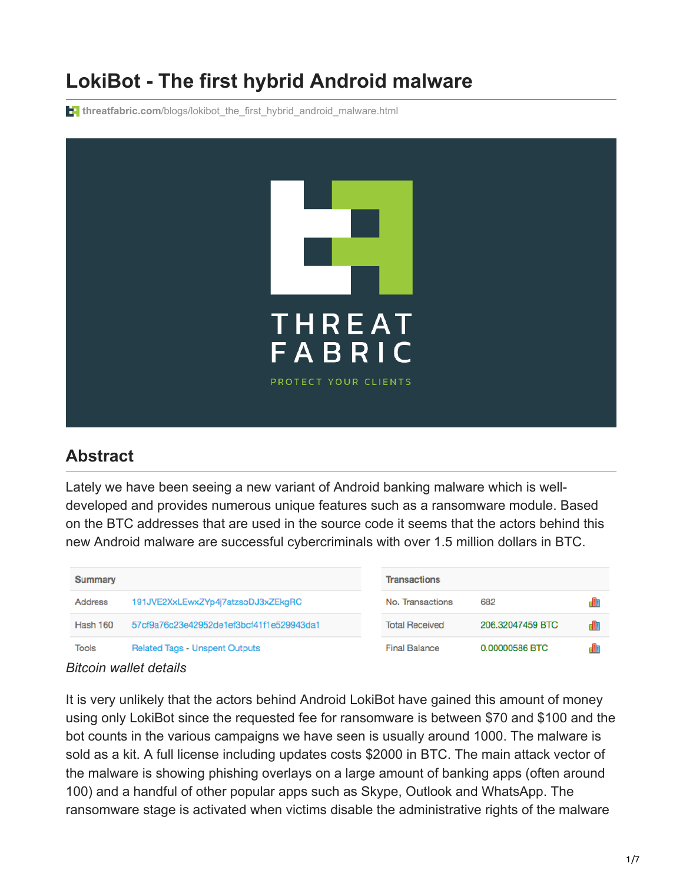# **LokiBot - The first hybrid Android malware**

**threatfabric.com**[/blogs/lokibot\\_the\\_first\\_hybrid\\_android\\_malware.html](https://www.threatfabric.com/blogs/lokibot_the_first_hybrid_android_malware.html)



#### **Abstract**

Lately we have been seeing a new variant of Android banking malware which is welldeveloped and provides numerous unique features such as a ransomware module. Based on the BTC addresses that are used in the source code it seems that the actors behind this new Android malware are successful cybercriminals with over 1.5 million dollars in BTC.

| <b>Summary</b>  |                                          | <b>Transactions</b>   |                  |  |  |  |  |
|-----------------|------------------------------------------|-----------------------|------------------|--|--|--|--|
| <b>Address</b>  | 191JVE2XxLEwxZYp4j7atzsoDJ3xZEkgRC       | No. Transactions      | 682              |  |  |  |  |
| <b>Hash 160</b> | 57cf9a76c23e42952de1ef3bcf41f1e529943da1 | <b>Total Received</b> | 206.32047459 BTC |  |  |  |  |
| <b>Tools</b>    | <b>Related Tags - Unspent Outputs</b>    | <b>Final Balance</b>  | 0.00000586 BTC   |  |  |  |  |

#### *Bitcoin wallet details*

It is very unlikely that the actors behind Android LokiBot have gained this amount of money using only LokiBot since the requested fee for ransomware is between \$70 and \$100 and the bot counts in the various campaigns we have seen is usually around 1000. The malware is sold as a kit. A full license including updates costs \$2000 in BTC. The main attack vector of the malware is showing phishing overlays on a large amount of banking apps (often around 100) and a handful of other popular apps such as Skype, Outlook and WhatsApp. The ransomware stage is activated when victims disable the administrative rights of the malware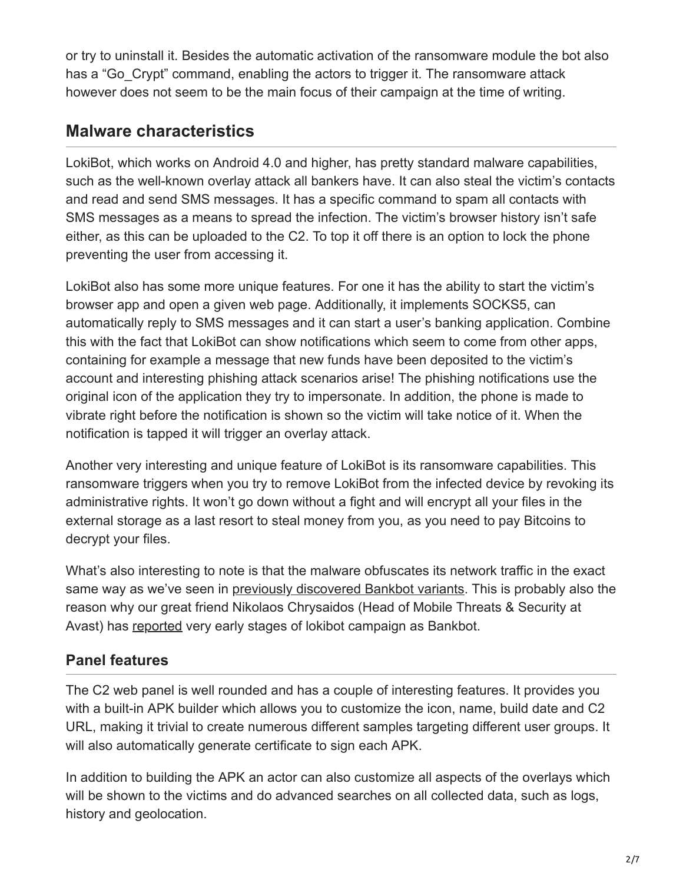or try to uninstall it. Besides the automatic activation of the ransomware module the bot also has a "Go Crypt" command, enabling the actors to trigger it. The ransomware attack however does not seem to be the main focus of their campaign at the time of writing.

#### **Malware characteristics**

LokiBot, which works on Android 4.0 and higher, has pretty standard malware capabilities, such as the well-known overlay attack all bankers have. It can also steal the victim's contacts and read and send SMS messages. It has a specific command to spam all contacts with SMS messages as a means to spread the infection. The victim's browser history isn't safe either, as this can be uploaded to the C2. To top it off there is an option to lock the phone preventing the user from accessing it.

LokiBot also has some more unique features. For one it has the ability to start the victim's browser app and open a given web page. Additionally, it implements SOCKS5, can automatically reply to SMS messages and it can start a user's banking application. Combine this with the fact that LokiBot can show notifications which seem to come from other apps, containing for example a message that new funds have been deposited to the victim's account and interesting phishing attack scenarios arise! The phishing notifications use the original icon of the application they try to impersonate. In addition, the phone is made to vibrate right before the notification is shown so the victim will take notice of it. When the notification is tapped it will trigger an overlay attack.

Another very interesting and unique feature of LokiBot is its ransomware capabilities. This ransomware triggers when you try to remove LokiBot from the infected device by revoking its administrative rights. It won't go down without a fight and will encrypt all your files in the external storage as a last resort to steal money from you, as you need to pay Bitcoins to decrypt your files.

What's also interesting to note is that the malware obfuscates its network traffic in the exact same way as we've seen in [previously discovered Bankbot variants](https://www.threatfabric.com/blogs/banking_malware_in_google_play_targeting_many_new_apps.html). This is probably also the reason why our great friend Nikolaos Chrysaidos (Head of Mobile Threats & Security at Avast) has [reported](https://twitter.com/virqdroid/status/878255898044452864) very early stages of lokibot campaign as Bankbot.

#### **Panel features**

The C2 web panel is well rounded and has a couple of interesting features. It provides you with a built-in APK builder which allows you to customize the icon, name, build date and C2 URL, making it trivial to create numerous different samples targeting different user groups. It will also automatically generate certificate to sign each APK.

In addition to building the APK an actor can also customize all aspects of the overlays which will be shown to the victims and do advanced searches on all collected data, such as logs, history and geolocation.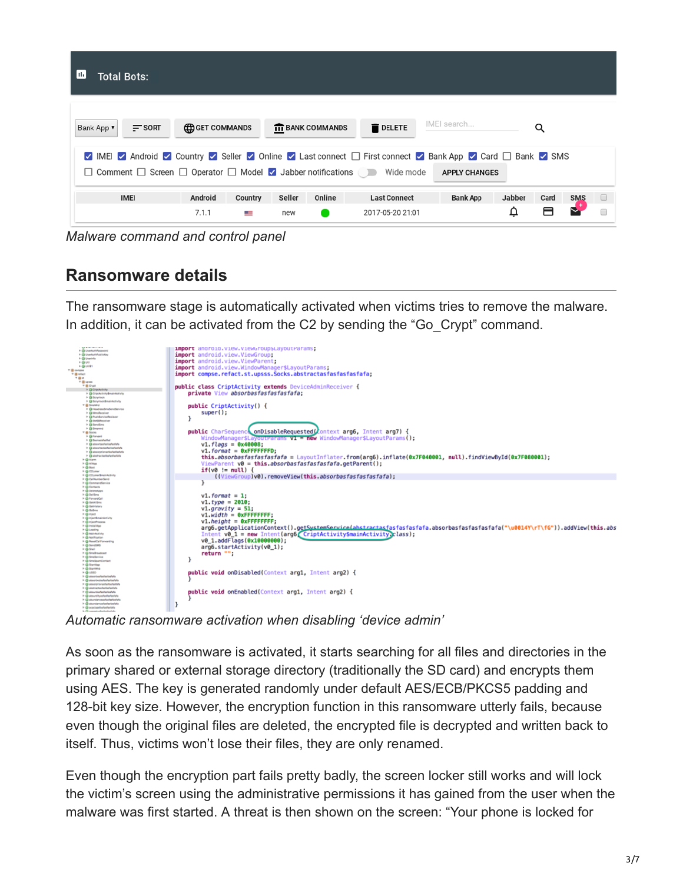| ш<br><b>Total Bots:</b>                                                                                                                                                                                                                  |                        |         |        |                         |                     |                 |        |      |            |        |
|------------------------------------------------------------------------------------------------------------------------------------------------------------------------------------------------------------------------------------------|------------------------|---------|--------|-------------------------|---------------------|-----------------|--------|------|------------|--------|
| Bank App v<br>$=$ sort                                                                                                                                                                                                                   | <b>ED GET COMMANDS</b> |         |        | <b>IT BANK COMMANDS</b> | <b>DELETE</b>       | IMEI search     |        | Q    |            |        |
| IMEL Android V Country V Seller V Online V Last connect I First connect V Bank App V Card I Bank V SMS<br>$\Box$ Comment $\Box$ Screen $\Box$ Operator $\Box$ Model $\Box$ Jabber notifications $\Box$ Wide mode<br><b>APPLY CHANGES</b> |                        |         |        |                         |                     |                 |        |      |            |        |
| <b>IMEI</b>                                                                                                                                                                                                                              | Android                | Country | Seller | Online                  | <b>Last Connect</b> | <b>Bank App</b> | Jabber | Card | <b>SMS</b> | $\Box$ |
|                                                                                                                                                                                                                                          | 7.1.1                  | a –     | new    |                         | 2017-05-20 21:01    |                 | ₽      |      |            |        |

*Malware command and control panel*

#### **Ransomware details**

The ransomware stage is automatically activated when victims tries to remove the malware. In addition, it can be activated from the C2 by sending the "Go\_Crypt" command.



*Automatic ransomware activation when disabling 'device admin'*

As soon as the ransomware is activated, it starts searching for all files and directories in the primary shared or external storage directory (traditionally the SD card) and encrypts them using AES. The key is generated randomly under default AES/ECB/PKCS5 padding and 128-bit key size. However, the encryption function in this ransomware utterly fails, because even though the original files are deleted, the encrypted file is decrypted and written back to itself. Thus, victims won't lose their files, they are only renamed.

Even though the encryption part fails pretty badly, the screen locker still works and will lock the victim's screen using the administrative permissions it has gained from the user when the malware was first started. A threat is then shown on the screen: "Your phone is locked for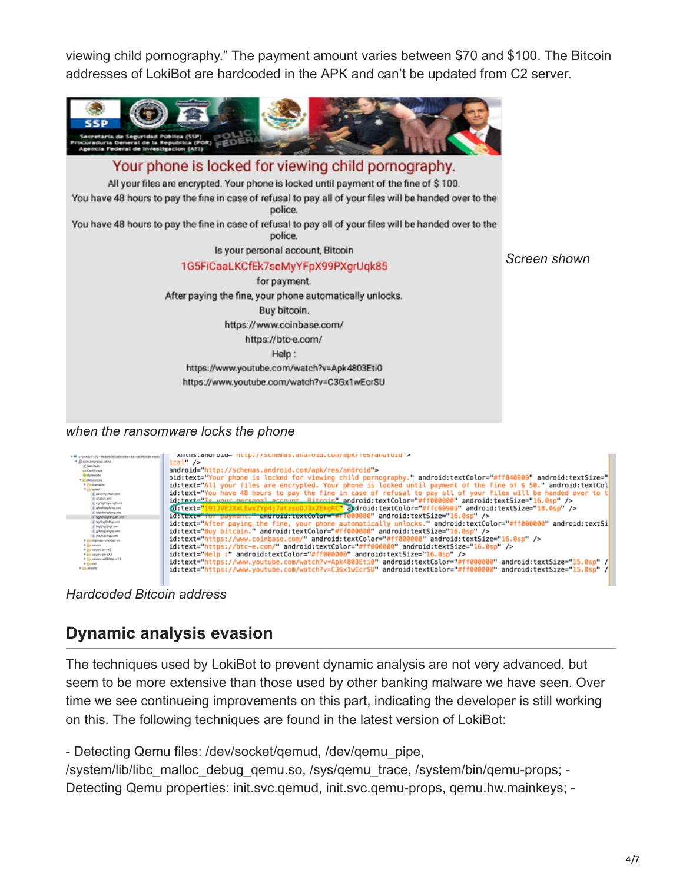viewing child pornography." The payment amount varies between \$70 and \$100. The Bitcoin addresses of LokiBot are hardcoded in the APK and can't be updated from C2 server.



*when the ransomware locks the phone*

| V @ a105504717216654505045458541a145344594445   | XIII LIIS: diiur 010= iittp://Scriellids.diiur 010. COIII/dDK/Tes/diiur 010 >                                       |
|-------------------------------------------------|---------------------------------------------------------------------------------------------------------------------|
| V .D com.bnyngvpl.utihz                         | ical" />                                                                                                            |
| If Manifest<br>Ge Certificate                   | android="http://schemas.android.com/apk/res/android">                                                               |
| <b>B</b> Bytecode                               | bid:text="Your phone is locked for viewing child pornography." android:textColor="#ff840909" android:textSize="     |
| V Co Resources<br>> C drawable                  | id:text="All your files are encrypted. Your phone is locked until payment of the fine of \$50." android:textCol     |
| <b>T Colleybut</b><br>Il activity main.xml      | id:text="You have 48 hours to pay the fine in case of refusal to pay all of your files will be handed over to t     |
| <b>Imaclantis</b> 3                             | id:text="Is your personal account. Bitcoin" android:textColor="#ff000000" android:textSize="16.0sp" />              |
| cofhafhafchaf.xml<br>Imx.gabhgabhbahg St        | <br>d:text="191JVE2XxLEwxZYp4j7atzsoDJ3xZEkgRC" android:textColor="#ffc60909" android:textSize="18.0sp" />          |
| Intelligenteholden<br>1 hgfdhdgfdhgdh.xml       | id:text="for payment." android:textCotor="#11000000" android:textSize="16.0sp" />                                   |
| If hoffroffring.xml                             | id:text="After paying the fine, your phone automatically unlocks." android:textColor="#ff000000" android:textSi     |
| 3. highlyghingt.xml<br>If informational disease | id:text="Buy bitcoin." android:textColor="#ff000000" android:textSize="16.0sp" />                                   |
| 3. Ingingvingv.xml<br>> (b mipmap-sochdgi-v4    | id:text="https://www.coinbase.com/" android:textColor="#ff000000" android:textSize="16.0sp" />                      |
| <b>High values</b>                              | id:text="https://btc-e.com/" android:textColor="#ff000000" android:textSize="16.0sp" />                             |
| Figh values-an-rXB<br>h @values-en-rXA          | id:text="Help :" android:textColor="#ff000000" android:textSize="16.0sp" />                                         |
| h (b values-w820dp-v13)<br>> (b and             | [1] "id:text="https://www.youtube.com/watch?v=Apk4803Eti0" android:textColor="#ff000000" android:textSize="15.0sp   |
| P @ Assets                                      | [1] id:text="https://www.youtube.com/watch?v=C3Gx1wEcrSU" android:textColor="#ff000000" android:textSize="15.0sp" / |
|                                                 |                                                                                                                     |

*Hardcoded Bitcoin address*

#### **Dynamic analysis evasion**

The techniques used by LokiBot to prevent dynamic analysis are not very advanced, but seem to be more extensive than those used by other banking malware we have seen. Over time we see continueing improvements on this part, indicating the developer is still working on this. The following techniques are found in the latest version of LokiBot:

- Detecting Qemu files: /dev/socket/qemud, /dev/qemu\_pipe,

/system/lib/libc\_malloc\_debug\_qemu.so, /sys/qemu\_trace, /system/bin/qemu-props; - Detecting Qemu properties: init.svc.qemud, init.svc.qemu-props, qemu.hw.mainkeys; -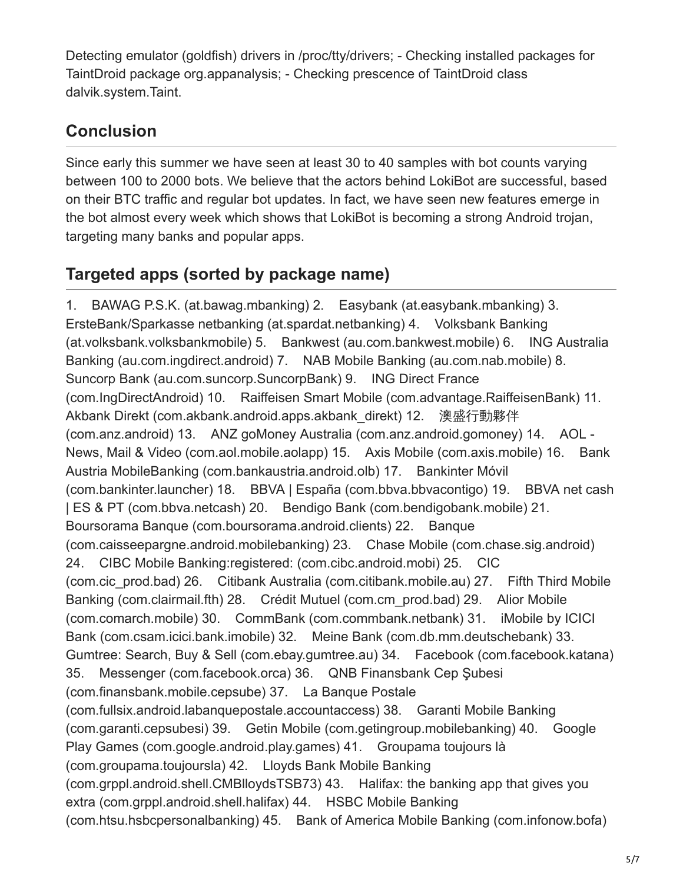Detecting emulator (goldfish) drivers in /proc/tty/drivers; - Checking installed packages for TaintDroid package org.appanalysis; - Checking prescence of TaintDroid class dalvik.system.Taint.

### **Conclusion**

Since early this summer we have seen at least 30 to 40 samples with bot counts varying between 100 to 2000 bots. We believe that the actors behind LokiBot are successful, based on their BTC traffic and regular bot updates. In fact, we have seen new features emerge in the bot almost every week which shows that LokiBot is becoming a strong Android trojan, targeting many banks and popular apps.

# **Targeted apps (sorted by package name)**

1. BAWAG P.S.K. (at.bawag.mbanking) 2. Easybank (at.easybank.mbanking) 3. ErsteBank/Sparkasse netbanking (at.spardat.netbanking) 4. Volksbank Banking (at.volksbank.volksbankmobile) 5. Bankwest (au.com.bankwest.mobile) 6. ING Australia Banking (au.com.ingdirect.android) 7. NAB Mobile Banking (au.com.nab.mobile) 8. Suncorp Bank (au.com.suncorp.SuncorpBank) 9. ING Direct France (com.IngDirectAndroid) 10. Raiffeisen Smart Mobile (com.advantage.RaiffeisenBank) 11. Akbank Direkt (com.akbank.android.apps.akbank\_direkt) 12. 澳盛行動夥伴 (com.anz.android) 13. ANZ goMoney Australia (com.anz.android.gomoney) 14. AOL - News, Mail & Video (com.aol.mobile.aolapp) 15. Axis Mobile (com.axis.mobile) 16. Bank Austria MobileBanking (com.bankaustria.android.olb) 17. Bankinter Móvil (com.bankinter.launcher) 18. BBVA | España (com.bbva.bbvacontigo) 19. BBVA net cash | ES & PT (com.bbva.netcash) 20. Bendigo Bank (com.bendigobank.mobile) 21. Boursorama Banque (com.boursorama.android.clients) 22. Banque (com.caisseepargne.android.mobilebanking) 23. Chase Mobile (com.chase.sig.android) 24. CIBC Mobile Banking:registered: (com.cibc.android.mobi) 25. CIC (com.cic\_prod.bad) 26. Citibank Australia (com.citibank.mobile.au) 27. Fifth Third Mobile Banking (com.clairmail.fth) 28. Crédit Mutuel (com.cm\_prod.bad) 29. Alior Mobile (com.comarch.mobile) 30. CommBank (com.commbank.netbank) 31. iMobile by ICICI Bank (com.csam.icici.bank.imobile) 32. Meine Bank (com.db.mm.deutschebank) 33. Gumtree: Search, Buy & Sell (com.ebay.gumtree.au) 34. Facebook (com.facebook.katana) 35. Messenger (com.facebook.orca) 36. QNB Finansbank Cep Şubesi (com.finansbank.mobile.cepsube) 37. La Banque Postale (com.fullsix.android.labanquepostale.accountaccess) 38. Garanti Mobile Banking (com.garanti.cepsubesi) 39. Getin Mobile (com.getingroup.mobilebanking) 40. Google Play Games (com.google.android.play.games) 41. Groupama toujours là (com.groupama.toujoursla) 42. Lloyds Bank Mobile Banking (com.grppl.android.shell.CMBlloydsTSB73) 43. Halifax: the banking app that gives you extra (com.grppl.android.shell.halifax) 44. HSBC Mobile Banking (com.htsu.hsbcpersonalbanking) 45. Bank of America Mobile Banking (com.infonow.bofa)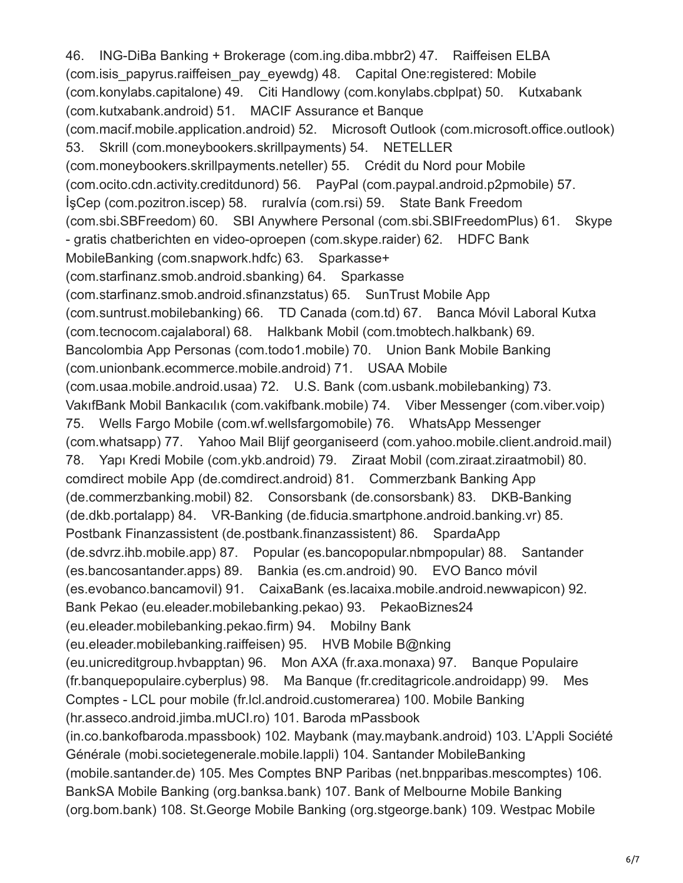46. ING-DiBa Banking + Brokerage (com.ing.diba.mbbr2) 47. Raiffeisen ELBA (com.isis\_papyrus.raiffeisen\_pay\_eyewdg) 48. Capital One:registered: Mobile (com.konylabs.capitalone) 49. Citi Handlowy (com.konylabs.cbplpat) 50. Kutxabank (com.kutxabank.android) 51. MACIF Assurance et Banque (com.macif.mobile.application.android) 52. Microsoft Outlook (com.microsoft.office.outlook) 53. Skrill (com.moneybookers.skrillpayments) 54. NETELLER (com.moneybookers.skrillpayments.neteller) 55. Crédit du Nord pour Mobile (com.ocito.cdn.activity.creditdunord) 56. PayPal (com.paypal.android.p2pmobile) 57. İşCep (com.pozitron.iscep) 58. ruralvía (com.rsi) 59. State Bank Freedom (com.sbi.SBFreedom) 60. SBI Anywhere Personal (com.sbi.SBIFreedomPlus) 61. Skype - gratis chatberichten en video-oproepen (com.skype.raider) 62. HDFC Bank MobileBanking (com.snapwork.hdfc) 63. Sparkasse+ (com.starfinanz.smob.android.sbanking) 64. Sparkasse (com.starfinanz.smob.android.sfinanzstatus) 65. SunTrust Mobile App (com.suntrust.mobilebanking) 66. TD Canada (com.td) 67. Banca Móvil Laboral Kutxa (com.tecnocom.cajalaboral) 68. Halkbank Mobil (com.tmobtech.halkbank) 69. Bancolombia App Personas (com.todo1.mobile) 70. Union Bank Mobile Banking (com.unionbank.ecommerce.mobile.android) 71. USAA Mobile (com.usaa.mobile.android.usaa) 72. U.S. Bank (com.usbank.mobilebanking) 73. VakıfBank Mobil Bankacılık (com.vakifbank.mobile) 74. Viber Messenger (com.viber.voip) 75. Wells Fargo Mobile (com.wf.wellsfargomobile) 76. WhatsApp Messenger (com.whatsapp) 77. Yahoo Mail Blijf georganiseerd (com.yahoo.mobile.client.android.mail) 78. Yapı Kredi Mobile (com.ykb.android) 79. Ziraat Mobil (com.ziraat.ziraatmobil) 80. comdirect mobile App (de.comdirect.android) 81. Commerzbank Banking App (de.commerzbanking.mobil) 82. Consorsbank (de.consorsbank) 83. DKB-Banking (de.dkb.portalapp) 84. VR-Banking (de.fiducia.smartphone.android.banking.vr) 85. Postbank Finanzassistent (de.postbank.finanzassistent) 86. SpardaApp (de.sdvrz.ihb.mobile.app) 87. Popular (es.bancopopular.nbmpopular) 88. Santander (es.bancosantander.apps) 89. Bankia (es.cm.android) 90. EVO Banco móvil (es.evobanco.bancamovil) 91. CaixaBank (es.lacaixa.mobile.android.newwapicon) 92. Bank Pekao (eu.eleader.mobilebanking.pekao) 93. PekaoBiznes24 (eu.eleader.mobilebanking.pekao.firm) 94. Mobilny Bank (eu.eleader.mobilebanking.raiffeisen) 95. HVB Mobile B@nking (eu.unicreditgroup.hvbapptan) 96. Mon AXA (fr.axa.monaxa) 97. Banque Populaire (fr.banquepopulaire.cyberplus) 98. Ma Banque (fr.creditagricole.androidapp) 99. Mes Comptes - LCL pour mobile (fr.lcl.android.customerarea) 100. Mobile Banking (hr.asseco.android.jimba.mUCI.ro) 101. Baroda mPassbook (in.co.bankofbaroda.mpassbook) 102. Maybank (may.maybank.android) 103. L'Appli Société Générale (mobi.societegenerale.mobile.lappli) 104. Santander MobileBanking (mobile.santander.de) 105. Mes Comptes BNP Paribas (net.bnpparibas.mescomptes) 106. BankSA Mobile Banking (org.banksa.bank) 107. Bank of Melbourne Mobile Banking (org.bom.bank) 108. St.George Mobile Banking (org.stgeorge.bank) 109. Westpac Mobile